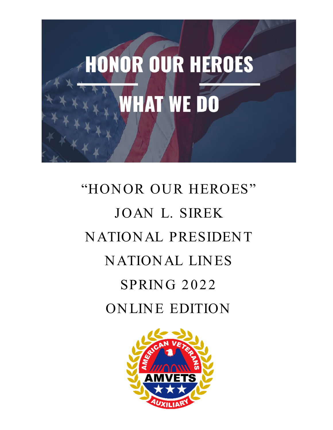

# "HONOR OUR HEROES" JOAN L. SIREK N ATION AL PRESIDEN T NATIONAL LINES **SPRING 2022** ONLINE EDITION

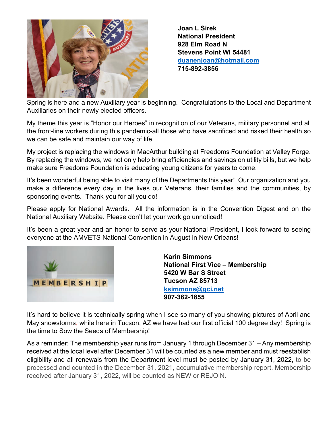

**Joan L Sirek National President 928 Elm Road N Stevens Point WI 54481 [duanenjoan@hotmail.com](mailto:duanenjoan@hotmail.com) 715-892-3856**

Spring is here and a new Auxiliary year is beginning. Congratulations to the Local and Department Auxiliaries on their newly elected officers.

My theme this year is "Honor our Heroes" in recognition of our Veterans, military personnel and all the front-line workers during this pandemic-all those who have sacrificed and risked their health so we can be safe and maintain our way of life.

My project is replacing the windows in MacArthur building at Freedoms Foundation at Valley Forge. By replacing the windows, we not only help bring efficiencies and savings on utility bills, but we help make sure Freedoms Foundation is educating young citizens for years to come.

It's been wonderful being able to visit many of the Departments this year! Our organization and you make a difference every day in the lives our Veterans, their families and the communities, by sponsoring events. Thank-you for all you do!

Please apply for National Awards. All the information is in the Convention Digest and on the National Auxiliary Website. Please don't let your work go unnoticed!

It's been a great year and an honor to serve as your National President, I look forward to seeing everyone at the AMVETS National Convention in August in New Orleans!



**Karin Simmons National First Vice – Membership 5420 W Bar S Street Tucson AZ 85713 [ksimmons@gci.net](mailto:ksimmons@gci.net) 907-382-1855**

It's hard to believe it is technically spring when I see so many of you showing pictures of April and May snowstorms, while here in Tucson, AZ we have had our first official 100 degree day! Spring is the time to Sow the Seeds of Membership!

As a reminder: The membership year runs from January 1 through December 31 – Any membership received at the local level after December 31 will be counted as a new member and must reestablish eligibility and all renewals from the Department level must be posted by January 31, 2022, to be processed and counted in the December 31, 2021, accumulative membership report. Membership received after January 31, 2022, will be counted as NEW or REJOIN.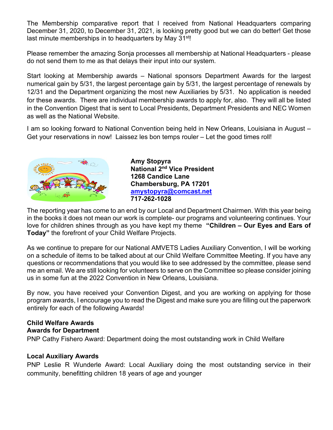The Membership comparative report that I received from National Headquarters comparing December 31, 2020, to December 31, 2021, is looking pretty good but we can do better! Get those last minute memberships in to headquarters by May 31<sup>st</sup>!

Please remember the amazing Sonja processes all membership at National Headquarters - please do not send them to me as that delays their input into our system.

Start looking at Membership awards – National sponsors Department Awards for the largest numerical gain by 5/31, the largest percentage gain by 5/31, the largest percentage of renewals by 12/31 and the Department organizing the most new Auxiliaries by 5/31. No application is needed for these awards. There are individual membership awards to apply for, also. They will all be listed in the Convention Digest that is sent to Local Presidents, Department Presidents and NEC Women as well as the National Website.

I am so looking forward to National Convention being held in New Orleans, Louisiana in August – Get your reservations in now! Laissez les bon temps rouler – Let the good times roll!



**Amy Stopyra National 2nd Vice President 1268 Candice Lane Chambersburg, PA 17201 [amystopyra@comcast.net](about:blank) 717-262-1028**

The reporting year has come to an end by our Local and Department Chairmen. With this year being in the books it does not mean our work is complete- our programs and volunteering continues. Your love for children shines through as you have kept my theme **"Children – Our Eyes and Ears of Today"** the forefront of your Child Welfare Projects.

As we continue to prepare for our National AMVETS Ladies Auxiliary Convention, I will be working on a schedule of items to be talked about at our Child Welfare Committee Meeting. If you have any questions or recommendations that you would like to see addressed by the committee, please send me an email. We are still looking for volunteers to serve on the Committee so please consider joining us in some fun at the 2022 Convention in New Orleans, Louisiana.

By now, you have received your Convention Digest, and you are working on applying for those program awards, I encourage you to read the Digest and make sure you are filling out the paperwork entirely for each of the following Awards!

### **Child Welfare Awards**

#### **Awards for Department**

PNP Cathy Fishero Award: Department doing the most outstanding work in Child Welfare

#### **Local Auxiliary Awards**

PNP Leslie R Wunderle Award: Local Auxiliary doing the most outstanding service in their community, benefitting children 18 years of age and younger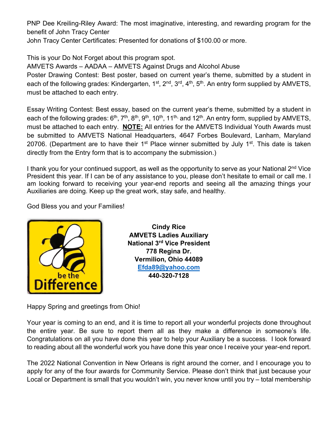PNP Dee Kreiling-Riley Award: The most imaginative, interesting, and rewarding program for the benefit of John Tracy Center

John Tracy Center Certificates: Presented for donations of \$100.00 or more.

This is your Do Not Forget about this program spot.

AMVETS Awards – AADAA – AMVETS Against Drugs and Alcohol Abuse

Poster Drawing Contest: Best poster, based on current year's theme, submitted by a student in each of the following grades: Kindergarten, 1<sup>st</sup>, 2<sup>nd</sup>, 3<sup>rd</sup>, 4<sup>th</sup>, 5<sup>th</sup>. An entry form supplied by AMVETS, must be attached to each entry.

Essay Writing Contest: Best essay, based on the current year's theme, submitted by a student in each of the following grades:  $6<sup>th</sup>$ ,  $7<sup>th</sup>$ ,  $8<sup>th</sup>$ ,  $9<sup>th</sup>$ ,  $10<sup>th</sup>$ , and  $12<sup>th</sup>$ . An entry form, supplied by AMVETS, must be attached to each entry. **NOTE:** All entries for the AMVETS Individual Youth Awards must be submitted to AMVETS National Headquarters, 4647 Forbes Boulevard, Lanham, Maryland 20706. (Department are to have their 1<sup>st</sup> Place winner submitted by July 1<sup>st</sup>. This date is taken directly from the Entry form that is to accompany the submission.)

I thank you for your continued support, as well as the opportunity to serve as your National  $2^{nd}$  Vice President this year. If I can be of any assistance to you, please don't hesitate to email or call me. I am looking forward to receiving your year-end reports and seeing all the amazing things your Auxiliaries are doing. Keep up the great work, stay safe, and healthy.

God Bless you and your Families!



**Cindy Rice AMVETS Ladies Auxiliary National 3rd Vice President 778 Regina Dr. Vermilion, Ohio 44089 [Efda89@yahoo.com](about:blank) 440-320-7128**

Happy Spring and greetings from Ohio!

Your year is coming to an end, and it is time to report all your wonderful projects done throughout the entire year. Be sure to report them all as they make a difference in someone's life. Congratulations on all you have done this year to help your Auxiliary be a success. I look forward to reading about all the wonderful work you have done this year once I receive your year-end report.

The 2022 National Convention in New Orleans is right around the corner, and I encourage you to apply for any of the four awards for Community Service. Please don't think that just because your Local or Department is small that you wouldn't win, you never know until you try – total membership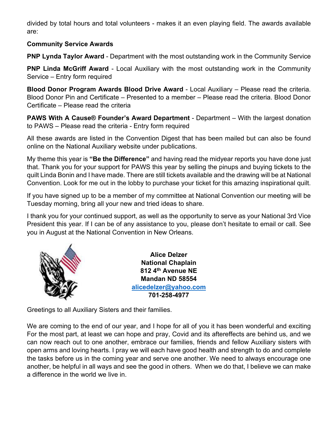divided by total hours and total volunteers - makes it an even playing field. The awards available are:

#### **Community Service Awards**

**PNP Lynda Taylor Award** - Department with the most outstanding work in the Community Service

**PNP Linda McGriff Award** - Local Auxiliary with the most outstanding work in the Community Service – Entry form required

**Blood Donor Program Awards Blood Drive Award** - Local Auxiliary – Please read the criteria. Blood Donor Pin and Certificate – Presented to a member – Please read the criteria. Blood Donor Certificate – Please read the criteria

**PAWS With A Cause® Founder's Award Department** - Department – With the largest donation to PAWS – Please read the criteria - Entry form required

All these awards are listed in the Convention Digest that has been mailed but can also be found online on the National Auxiliary website under publications.

My theme this year is **"Be the Difference"** and having read the midyear reports you have done just that. Thank you for your support for PAWS this year by selling the pinups and buying tickets to the quilt Linda Bonin and I have made. There are still tickets available and the drawing will be at National Convention. Look for me out in the lobby to purchase your ticket for this amazing inspirational quilt.

If you have signed up to be a member of my committee at National Convention our meeting will be Tuesday morning, bring all your new and tried ideas to share.

I thank you for your continued support, as well as the opportunity to serve as your National 3rd Vice President this year. If I can be of any assistance to you, please don't hesitate to email or call. See you in August at the National Convention in New Orleans.



**Alice Delzer National Chaplain 812 4th Avenue NE Mandan ND 58554 [alicedelzer@yahoo.com](mailto:alicedelzer@yahoo.com) 701-258-4977**

Greetings to all Auxiliary Sisters and their families.

We are coming to the end of our year, and I hope for all of you it has been wonderful and exciting For the most part, at least we can hope and pray, Covid and its aftereffects are behind us, and we can now reach out to one another, embrace our families, friends and fellow Auxiliary sisters with open arms and loving hearts. I pray we will each have good health and strength to do and complete the tasks before us in the coming year and serve one another. We need to always encourage one another, be helpful in all ways and see the good in others. When we do that, I believe we can make a difference in the world we live in.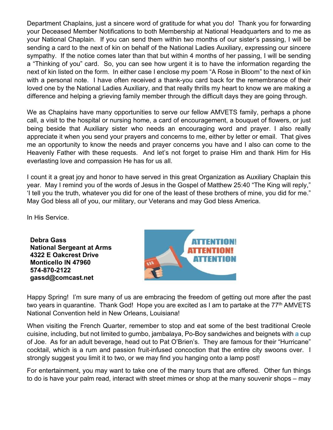Department Chaplains, just a sincere word of gratitude for what you do! Thank you for forwarding your Deceased Member Notifications to both Membership at National Headquarters and to me as your National Chaplain. If you can send them within two months of our sister's passing, I will be sending a card to the next of kin on behalf of the National Ladies Auxiliary, expressing our sincere sympathy. If the notice comes later than that but within 4 months of her passing, I will be sending a "Thinking of you" card. So, you can see how urgent it is to have the information regarding the next of kin listed on the form. In either case I enclose my poem "A Rose in Bloom" to the next of kin with a personal note. I have often received a thank-you card back for the remembrance of their loved one by the National Ladies Auxiliary, and that really thrills my heart to know we are making a difference and helping a grieving family member through the difficult days they are going through.

We as Chaplains have many opportunities to serve our fellow AMVETS family, perhaps a phone call, a visit to the hospital or nursing home, a card of encouragement, a bouquet of flowers, or just being beside that Auxiliary sister who needs an encouraging word and prayer. I also really appreciate it when you send your prayers and concerns to me, either by letter or email. That gives me an opportunity to know the needs and prayer concerns you have and I also can come to the Heavenly Father with these requests. And let's not forget to praise Him and thank Him for His everlasting love and compassion He has for us all.

I count it a great joy and honor to have served in this great Organization as Auxiliary Chaplain this year. May I remind you of the words of Jesus in the Gospel of Matthew 25:40 "The King will reply," 'I tell you the truth, whatever you did for one of the least of these brothers of mine, you did for me." May God bless all of you, our military, our Veterans and may God bless America.

In His Service.

**Debra Gass National Sergeant at Arms 4322 E Oakcrest Drive Monticello IN 47960 574-870-2122 gassd@comcast.net**



Happy Spring! I'm sure many of us are embracing the freedom of getting out more after the past two years in quarantine. Thank God! Hope you are excited as I am to partake at the 77<sup>th</sup> AMVETS National Convention held in New Orleans, Louisiana!

When visiting the French Quarter, remember to stop and eat some of the best traditional Creole cuisine, including, but not limited to gumbo, jambalaya, Po-Boy sandwiches and beignets with a cup of Joe. As for an adult beverage, head out to Pat O'Brien's. They are famous for their "Hurricane" cocktail, which is a rum and passion fruit-infused concoction that the entire city swoons over. I strongly suggest you limit it to two, or we may find you hanging onto a lamp post!

For entertainment, you may want to take one of the many tours that are offered. Other fun things to do is have your palm read, interact with street mimes or shop at the many souvenir shops – may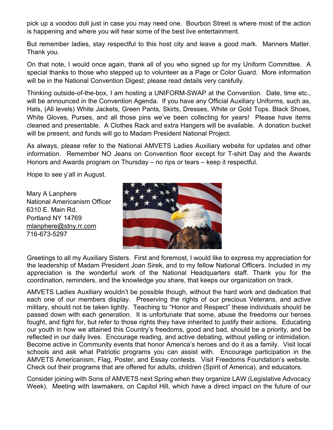pick up a voodoo doll just in case you may need one. Bourbon Street is where most of the action is happening and where you will hear some of the best live entertainment.

But remember ladies, stay respectful to this host city and leave a good mark. Manners Matter. Thank you.

On that note, I would once again, thank all of you who signed up for my Uniform Committee. A special thanks to those who stepped up to volunteer as a Page or Color Guard. More information will be in the National Convention Digest; please read details very carefully.

Thinking outside-of-the-box, I am hosting a UNIFORM-SWAP at the Convention. Date, time etc., will be announced in the Convention Agenda. If you have any Official Auxiliary Uniforms, such as, Hats, (All levels) White Jackets, Green Pants, Skirts, Dresses, White or Gold Tops. Black Shoes, White Gloves, Purses, and all those pins we've been collecting for years! Please have items cleaned and presentable. A Clothes Rack and extra Hangers will be available. A donation bucket will be present, and funds will go to Madam President National Project.

As always, please refer to the National AMVETS Ladies Auxiliary website for updates and other information. Remember NO Jeans on Convention floor except for T-shirt Day and the Awards Honors and Awards program on Thursday – no rips or tears – keep it respectful.

Hope to see y'all in August.

Mary A Lanphere National Americanism Officer 6310 E. Main Rd. Portland NY 14769 [mlanphere@stny.rr.com](about:blank) 716-673-5297



Greetings to all my Auxiliary Sisters. First and foremost, I would like to express my appreciation for the leadership of Madam President Joan Sirek, and to my fellow National Officers. Included in my appreciation is the wonderful work of the National Headquarters staff. Thank you for the coordination, reminders, and the knowledge you share, that keeps our organization on track.

AMVETS Ladies Auxiliary wouldn't be possible though, without the hard work and dedication that each one of our members display. Preserving the rights of our precious Veterans, and active military, should not be taken lightly. Teaching to "Honor and Respect" these individuals should be passed down with each generation. It is unfortunate that some, abuse the freedoms our heroes fought, and fight for, but refer to those rights they have inherited to justify their actions. Educating our youth in how we attained this Country's freedoms, good and bad, should be a priority, and be reflected in our daily lives. Encourage reading, and active debating, without yelling or intimidation. Become active in Community events that honor America's heroes and do it as a family. Visit local schools and ask what Patriotic programs you can assist with. Encourage participation in the AMVETS Americanism, Flag, Poster, and Essay contests. Visit Freedoms Foundation's website. Check out their programs that are offered for adults, children (Spirit of America), and educators.

Consider joining with Sons of AMVETS next Spring when they organize LAW (Legislative Advocacy Week). Meeting with lawmakers, on Capitol Hill, which have a direct impact on the future of our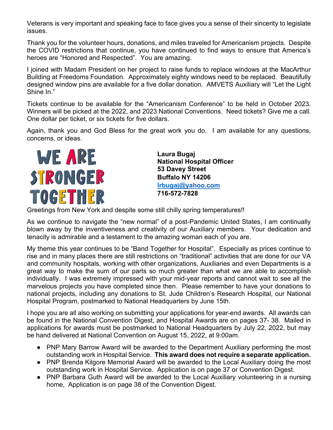Veterans is very important and speaking face to face gives you a sense of their sincerity to legislate issues.

Thank you for the volunteer hours, donations, and miles traveled for Americanism projects. Despite the COVID restrictions that continue, you have continued to find ways to ensure that America's heroes are "Honored and Respected". You are amazing.

I joined with Madam President on her project to raise funds to replace windows at the MacArthur Building at Freedoms Foundation. Approximately eighty windows need to be replaced. Beautifully designed window pins are available for a five dollar donation. AMVETS Auxiliary will "Let the Light Shine In."

Tickets continue to be available for the "Americanism Conference" to be held in October 2023. Winners will be picked at the 2022, and 2023 National Conventions. Need tickets? Give me a call. One dollar per ticket, or six tickets for five dollars.

Again, thank you and God Bless for the great work you do. I am available for any questions, concerns, or ideas.



**Laura Bugaj National Hospital Officer 53 Davey Street Buffalo NY 14206 [lrbugaj@yahoo.com](mailto:lrbugaj@yahoo.com) 716-572-7828**

Greetings from New York and despite some still chilly spring temperatures!!

As we continue to navigate the "new normal" of a post-Pandemic United States, I am continually blown away by the inventiveness and creativity of our Auxiliary members. Your dedication and tenacity is admirable and a testament to the amazing woman each of you are.

My theme this year continues to be "Band Together for Hospital". Especially as prices continue to rise and in many places there are still restrictions on "traditional" activities that are done for our VA and community hospitals, working with other organizations, Auxiliaries and even Departments is a great way to make the sum of our parts so much greater than what we are able to accomplish individually. I was extremely impressed with your mid-year reports and cannot wait to see all the marvelous projects you have completed since then. Please remember to have your donations to national projects, including any donations to St. Jude Children's Research Hospital, our National Hospital Program, postmarked to National Headquarters by June 15th.

I hope you are all also working on submitting your applications for year-end awards. All awards can be found in the National Convention Digest, and Hospital Awards are on pages 37- 38. Mailed in applications for awards must be postmarked to National Headquarters by July 22, 2022, but may be hand delivered at National Convention on August 15, 2022, at 9:00am.

- PNP Mary Barrow Award will be awarded to the Department Auxiliary performing the most outstanding work in Hospital Service. **This award does not require a separate application.**
- PNP Brenda Kilgore Memorial Award will be awarded to the Local Auxiliary doing the most outstanding work in Hospital Service. Application is on page 37 or Convention Digest.
- PNP Barbara Guth Award will be awarded to the Local Auxiliary volunteering in a nursing home, Application is on page 38 of the Convention Digest.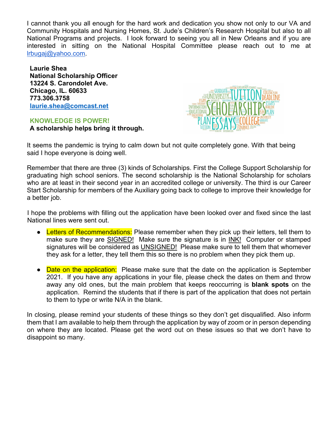I cannot thank you all enough for the hard work and dedication you show not only to our VA and Community Hospitals and Nursing Homes, St. Jude's Children's Research Hospital but also to all National Programs and projects. I look forward to seeing you all in New Orleans and if you are interested in sitting on the National Hospital Committee please reach out to me at [lrbugaj@yahoo.com.](about:blank)

**Laurie Shea National Scholarship Officer 13224 S. Carondolet Ave. Chicago, IL. 60633 773.306.3758 [laurie.shea@comcast.net](about:blank)**

**KNOWLEDGE IS POWER! A scholarship helps bring it through.**



It seems the pandemic is trying to calm down but not quite completely gone. With that being said I hope everyone is doing well.

Remember that there are three (3) kinds of Scholarships. First the College Support Scholarship for graduating high school seniors. The second scholarship is the National Scholarship for scholars who are at least in their second year in an accredited college or university. The third is our Career Start Scholarship for members of the Auxiliary going back to college to improve their knowledge for a better job.

I hope the problems with filling out the application have been looked over and fixed since the last National lines were sent out.

- Letters of Recommendations: Please remember when they pick up their letters, tell them to make sure they are SIGNED! Make sure the signature is in INK! Computer or stamped signatures will be considered as UNSIGNED! Please make sure to tell them that whomever they ask for a letter, they tell them this so there is no problem when they pick them up.
- Date on the application: Please make sure that the date on the application is September 2021. If you have any applications in your file, please check the dates on them and throw away any old ones, but the main problem that keeps reoccurring is **blank spots** on the application. Remind the students that if there is part of the application that does not pertain to them to type or write N/A in the blank.

In closing, please remind your students of these things so they don't get disqualified. Also inform them that I am available to help them through the application by way of zoom or in person depending on where they are located. Please get the word out on these issues so that we don't have to disappoint so many.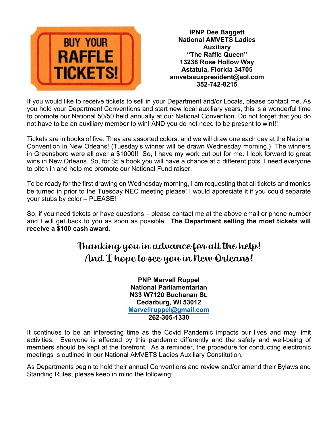

**IPNP Dee Baggett National AMVETS Ladies Auxiliary "The Raffle Queen" 13238 Rose Hollow Way Astatula, Florida 34705 amvetsauxpresident@aol.com 352-742-8215**

If you would like to receive tickets to sell in your Department and/or Locals, please contact me. As you hold your Department Conventions and start new local auxiliary years, this is a wonderful time to promote our National 50/50 held annually at our National Convention. Do not forget that you do not have to be an auxiliary member to win! AND you do not need to be present to win!!!

Tickets are in books of five. They are assorted colors, and we will draw one each day at the National Convention in New Orleans! (Tuesday's winner will be drawn Wednesday morning.) The winners in Greensboro were all over a \$1000!! So, I have my work cut out for me. I look forward to great wins in New Orleans. So, for \$5 a book you will have a chance at 5 different pots. I need everyone to pitch in and help me promote our National Fund raiser.

To be ready for the first drawing on Wednesday morning, I am requesting that all tickets and monies be turned in prior to the Tuesday NEC meeting please! I would appreciate it if you could separate your stubs by color – PLEASE!

So, if you need tickets or have questions – please contact me at the above email or phone number and I will get back to you as soon as possible. **The Department selling the most tickets will receive a \$100 cash award.**

## Thanking you in advance for all the help! And I hope to see you in New Orleans!

**PNP Marvell Ruppel National Parliamentarian N33 W7120 Buchanan St. Cedarburg, WI 53012 [Marvellruppel@gmail.com](about:blank) 262-305-1330**

It continues to be an interesting time as the Covid Pandemic impacts our lives and may limit activities. Everyone is affected by this pandemic differently and the safety and well-being of members should be kept at the forefront. As a reminder, the procedure for conducting electronic meetings is outlined in our National AMVETS Ladies Auxiliary Constitution.

As Departments begin to hold their annual Conventions and review and/or amend their Bylaws and Standing Rules, please keep in mind the following: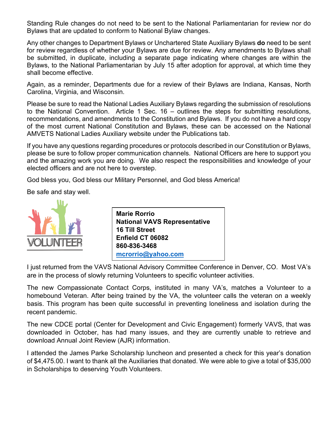Standing Rule changes do not need to be sent to the National Parliamentarian for review nor do Bylaws that are updated to conform to National Bylaw changes.

Any other changes to Department Bylaws or Unchartered State Auxiliary Bylaws **do** need to be sent for review regardless of whether your Bylaws are due for review. Any amendments to Bylaws shall be submitted, in duplicate, including a separate page indicating where changes are within the Bylaws, to the National Parliamentarian by July 15 after adoption for approval, at which time they shall become effective.

Again, as a reminder, Departments due for a review of their Bylaws are Indiana, Kansas, North Carolina, Virginia, and Wisconsin.

Please be sure to read the National Ladies Auxiliary Bylaws regarding the submission of resolutions to the National Convention. Article 1 Sec. 16 – outlines the steps for submitting resolutions, recommendations, and amendments to the Constitution and Bylaws. If you do not have a hard copy of the most current National Constitution and Bylaws, these can be accessed on the National AMVETS National Ladies Auxiliary website under the Publications tab.

If you have any questions regarding procedures or protocols described in our Constitution or Bylaws, please be sure to follow proper communication channels. National Officers are here to support you and the amazing work you are doing. We also respect the responsibilities and knowledge of your elected officers and are not here to overstep.

God bless you, God bless our Military Personnel, and God bless America!

Be safe and stay well.



| <b>Marie Rorrio</b>                 |  |
|-------------------------------------|--|
| <b>National VAVS Representative</b> |  |
| <b>16 Till Street</b>               |  |
| Enfield CT 06082                    |  |
| 860-836-3468                        |  |
| mcrorrio@yahoo.com                  |  |

I just returned from the VAVS National Advisory Committee Conference in Denver, CO. Most VA's are in the process of slowly returning Volunteers to specific volunteer activities.

The new Compassionate Contact Corps, instituted in many VA's, matches a Volunteer to a homebound Veteran. After being trained by the VA, the volunteer calls the veteran on a weekly basis. This program has been quite successful in preventing loneliness and isolation during the recent pandemic.

The new CDCE portal (Center for Development and Civic Engagement) formerly VAVS, that was downloaded in October, has had many issues, and they are currently unable to retrieve and download Annual Joint Review (AJR) information.

I attended the James Parke Scholarship luncheon and presented a check for this year's donation of \$4,475.00. I want to thank all the Auxiliaries that donated. We were able to give a total of \$35,000 in Scholarships to deserving Youth Volunteers.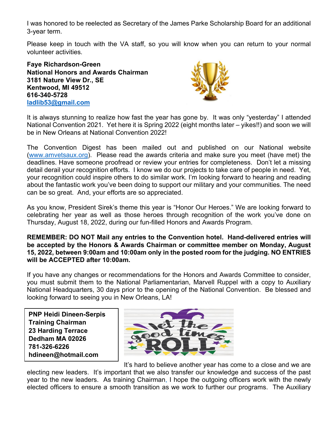I was honored to be reelected as Secretary of the James Parke Scholarship Board for an additional 3-year term.

Please keep in touch with the VA staff, so you will know when you can return to your normal volunteer activities.

**Faye Richardson-Green National Honors and Awards Chairman 3181 Nature View Dr., SE Kentwood, MI 49512 616-340-5728 [ladlib53@gmail.com](mailto:ladlib53@gmail.com)**



It is always stunning to realize how fast the year has gone by. It wa[s onl](about:blank)y "yesterday" I attended National Convention 2021. Yet here it is Spring 202[2 \(eight m](about:blank)onths later – yikes!!) and soon we will be in New Orleans at National Convention 2022!

The Convention Digest has been mailed out and published on our National website [\(www.amvetsaux.org\)](http://www.amvetsaux.org/). Please read the awards criteria and make sure you meet (have met) the deadlines. Have someone proofread or review your entries for completeness. Don't let a missing detail derail your recognition efforts. I know we do our projects to take care of people in need. Yet, your recognition could inspire others to do similar work. I'm looking forward to hearing and reading about the fantastic work you've been doing to support our military and your communities. The need can be so great. And, your efforts are so appreciated.

As you know, President Sirek's theme this year is "Honor Our Heroes." We are looking forward to celebrating her year as well as those heroes through recognition of the work you've done on Thursday, August 18, 2022, during our fun-filled Honors and Awards Program.

**REMEMBER: DO NOT Mail any entries to the Convention hotel. Hand-delivered entries will be accepted by the Honors & Awards Chairman or committee member on Monday, August 15, 2022, between 9:00am and 10:00am only in the posted room for the judging. NO ENTRIES will be ACCEPTED after 10:00am.**

If you have any changes or recommendations for the Honors and Awards Committee to consider, you must submit them to the National Parliamentarian, Marvell Ruppel with a copy to Auxiliary National Headquarters, 30 days prior to the opening of the National Convention. Be blessed and looking forward to seeing you in New Orleans, LA!

**PNP Heidi Dineen-Serpis Training Chairman 23 Harding Terrace Dedham MA 02026 781-326-6226 hdineen@hotmail.com**



It's hard to believe another year has come to a close and we are

electing new leaders. It's important that we also transfer our knowledge and success of the past year to the new leaders. As training Chairman, I hope the outgoing officers work with the newly elected officers to ensure a smooth transition as we work to further our programs. The Auxiliary